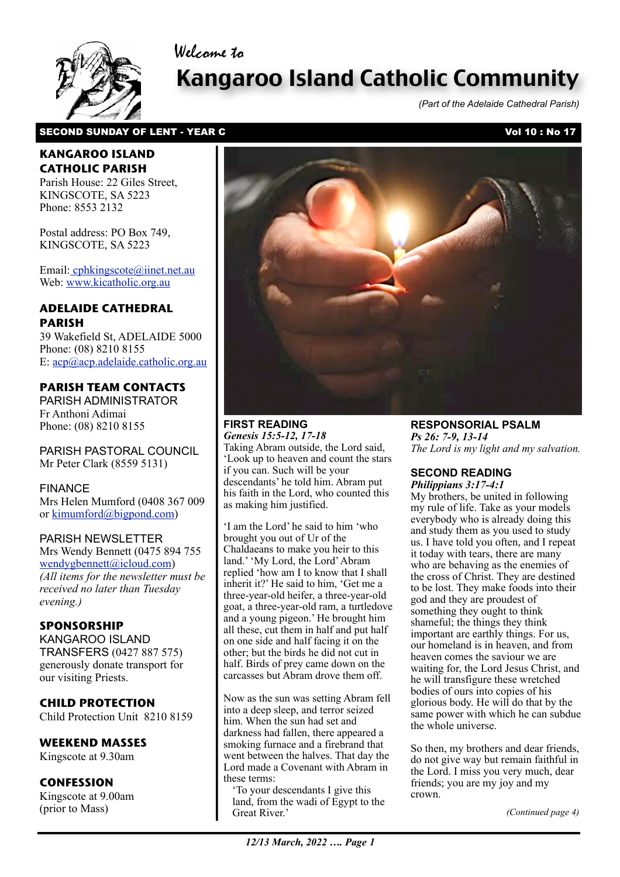Welcome to



# Kangaroo Island Catholic Community

*(Part of the Adelaide Cathedral Parish)*

## SECOND SUNDAY OF LENT - YEAR C Vol 10 : No 17

## **KANGAROO ISLAND CATHOLIC PARISH**

Parish House: 22 Giles Street, KINGSCOTE, SA 5223 Phone: 8553 2132

Postal address: PO Box 749, KINGSCOTE, SA 5223

Email[: cphkingscote@iinet.net.au](mailto:cphkingscote@iinet.net.au) Web: [www.kicatholic.org.au](http://www.kicatholic.org.au)

## **ADELAIDE CATHEDRAL PARISH**

39 Wakefield St, ADELAIDE 5000 Phone: (08) 8210 8155 E: [acp@acp.adelaide.catholic.org.au](mailto:?subject=)

## **PARISH TEAM CONTACTS**

PARISH ADMINISTRATOR Fr Anthoni Adimai Phone: (08) 8210 8155

PARISH PASTORAL COUNCIL Mr Peter Clark (8559 5131)

#### FINANCE Mrs Helen Mumford (0408 367 009 or [kimumford@bigpond.com\)](mailto:kimumford@bigpond.com)

#### PARISH NEWSLETTER

Mrs Wendy Bennett (0475 894 755 [wendygbennett@icloud.com\)](mailto:wendygbennett@icloud.com) *(All items for the newsletter must be received no later than Tuesday evening.)*

## **SPONSORSHIP**

KANGAROO ISLAND TRANSFERS (0427 887 575) generously donate transport for our visiting Priests.

## **CHILD PROTECTION**

Child Protection Unit 8210 8159

## **WEEKEND MASSES**

Kingscote at 9.30am

## **CONFESSION**

Kingscote at 9.00am (prior to Mass)



## **FIRST READING** *Genesis 15:5-12, 17-18*

Taking Abram outside, the Lord said, 'Look up to heaven and count the stars if you can. Such will be your descendants' he told him. Abram put his faith in the Lord, who counted this as making him justified.

'I am the Lord' he said to him 'who brought you out of Ur of the Chaldaeans to make you heir to this land.' 'My Lord, the Lord' Abram replied 'how am I to know that I shall inherit it?' He said to him, 'Get me a three-year-old heifer, a three-year-old goat, a three-year-old ram, a turtledove and a young pigeon.' He brought him all these, cut them in half and put half on one side and half facing it on the other; but the birds he did not cut in half. Birds of prey came down on the carcasses but Abram drove them off.

Now as the sun was setting Abram fell into a deep sleep, and terror seized him. When the sun had set and darkness had fallen, there appeared a smoking furnace and a firebrand that went between the halves. That day the Lord made a Covenant with Abram in these terms:

'To your descendants I give this land, from the wadi of Egypt to the Great River.'

**RESPONSORIAL PSALM** *Ps 26: 7-9, 13-14 The Lord is my light and my salvation.*

#### **SECOND READING** *Philippians 3:17-4:1*

My brothers, be united in following my rule of life. Take as your models everybody who is already doing this and study them as you used to study us. I have told you often, and I repeat it today with tears, there are many who are behaving as the enemies of the cross of Christ. They are destined to be lost. They make foods into their god and they are proudest of something they ought to think shameful; the things they think important are earthly things. For us, our homeland is in heaven, and from heaven comes the saviour we are waiting for, the Lord Jesus Christ, and he will transfigure these wretched bodies of ours into copies of his glorious body. He will do that by the same power with which he can subdue the whole universe.

So then, my brothers and dear friends, do not give way but remain faithful in the Lord. I miss you very much, dear friends; you are my joy and my crown.

*(Continued page 4)*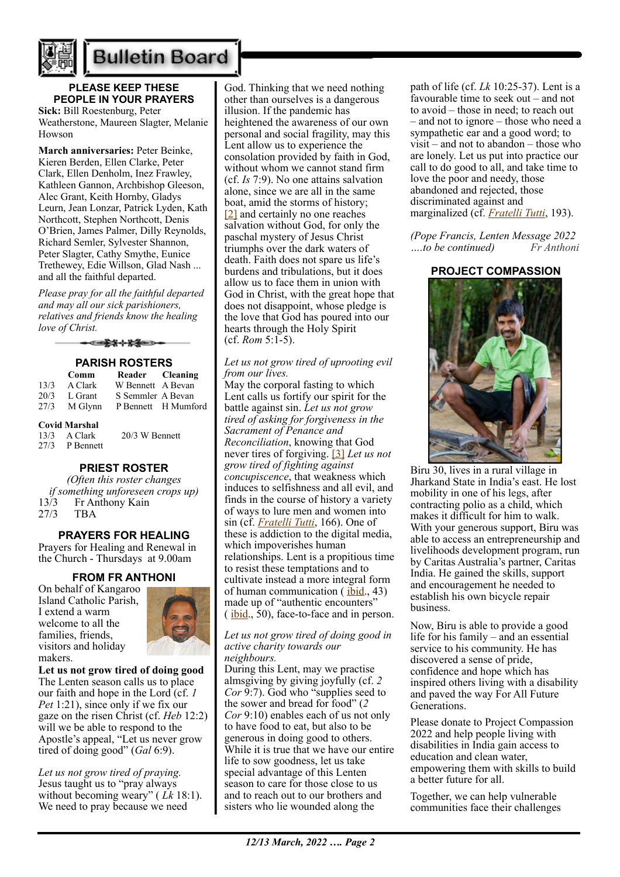

## **Bulletin Board**

## **PLEASE KEEP THESE PEOPLE IN YOUR PRAYERS**

**Sick:** Bill Roestenburg, Peter Weatherstone, Maureen Slagter, Melanie Howson

**March anniversaries:** Peter Beinke, Kieren Berden, Ellen Clarke, Peter Clark, Ellen Denholm, Inez Frawley, Kathleen Gannon, Archbishop Gleeson, Alec Grant, Keith Hornby, Gladys Leurn, Jean Lonzar, Patrick Lyden, Kath Northcott, Stephen Northcott, Denis O'Brien, James Palmer, Dilly Reynolds, Richard Semler, Sylvester Shannon, Peter Slagter, Cathy Smythe, Eunice Trethewey, Edie Willson, Glad Nash ... and all the faithful departed.

*Please pray for all the faithful departed and may all our sick parishioners, relatives and friends know the healing love of Christ.*

ఆ<del>≵⊀⊹⊁≸</del>≘⇒

## **PARISH ROSTERS**

|      | Comm                 | Reader Cleaning   |                     |
|------|----------------------|-------------------|---------------------|
| 13/3 | A Clark              | W Bennett A Bevan |                     |
| 20/3 | L Grant              | S Semmler A Bevan |                     |
| 27/3 | M Glynn              |                   | P Bennett H Mumford |
|      | <b>Covid Marshal</b> |                   |                     |
|      | $13/3$ A Clark       | 20/3 W Bennett    |                     |
|      | 27/3 P Bennett       |                   |                     |

#### **PRIEST ROSTER**

*(Often this roster changes if something unforeseen crops up)* 13/3 Fr Anthony Kain 27/3 TBA

#### **PRAYERS FOR HEALING**

Prayers for Healing and Renewal in the Church - Thursdays at 9.00am

## **FROM FR ANTHONI**

On behalf of Kangaroo Island Catholic Parish, I extend a warm welcome to all the families, friends, visitors and holiday makers.



**Let us not grow tired of doing good** The Lenten season calls us to place our faith and hope in the Lord (cf. *1 Pet* 1:21), since only if we fix our gaze on the risen Christ (cf. *Heb* 12:2) will we be able to respond to the Apostle's appeal, "Let us never grow tired of doing good" (*Gal* 6:9).

*Let us not grow tired of praying.* Jesus taught us to "pray always without becoming weary" ( *Lk* 18:1). We need to pray because we need

God. Thinking that we need nothing other than ourselves is a dangerous illusion. If the pandemic has heightened the awareness of our own personal and social fragility, may this Lent allow us to experience the consolation provided by faith in God, without whom we cannot stand firm (cf. *Is* 7:9). No one attains salvation alone, since we are all in the same boat, amid the storms of history; [\[2\]](https://www.vatican.va/content/francesco/en/messages/lent/documents/20211111-messaggio-quaresima2022.html#_ftn2) and certainly no one reaches salvation without God, for only the paschal mystery of Jesus Christ triumphs over the dark waters of death. Faith does not spare us life's burdens and tribulations, but it does allow us to face them in union with God in Christ, with the great hope that does not disappoint, whose pledge is the love that God has poured into our hearts through the Holy Spirit (cf. *Rom* 5:1-5).

*Let us not grow tired of uprooting evil from our lives.* 

May the corporal fasting to which Lent calls us fortify our spirit for the battle against sin. *Let us not grow tired of asking for forgiveness in the Sacrament of Penance and Reconciliation*, knowing that God never tires of forgiving. [\[3\]](https://www.vatican.va/content/francesco/en/messages/lent/documents/20211111-messaggio-quaresima2022.html#_ftn3) *Let us not grow tired of fighting against concupiscence*, that weakness which induces to selfishness and all evil, and finds in the course of history a variety of ways to lure men and women into sin (cf. *[Fratelli Tutti](https://www.vatican.va/content/francesco/en/encyclicals/documents/papa-francesco_20201003_enciclica-fratelli-tutti.html)*, 166). One of these is addiction to the digital media, which impoverishes human relationships. Lent is a propitious time to resist these temptations and to cultivate instead a more integral form of human communication  $(i$ <u>bid</u>., 43) made up of "authentic encounters"  $(i_{\text{bid.}}, 50)$ , face-to-face and in person.

#### *Let us not grow tired of doing good in active charity towards our neighbours.*

During this Lent, may we practise almsgiving by giving joyfully (cf. *2 Cor* 9:7). God who "supplies seed to the sower and bread for food" (*2 Cor* 9:10) enables each of us not only to have food to eat, but also to be generous in doing good to others. While it is true that we have our entire life to sow goodness, let us take special advantage of this Lenten season to care for those close to us and to reach out to our brothers and sisters who lie wounded along the

path of life (cf. *Lk* 10:25-37). Lent is a favourable time to seek out – and not to avoid – those in need; to reach out – and not to ignore – those who need a sympathetic ear and a good word; to  $visit$  – and not to abandon – those who are lonely. Let us put into practice our call to do good to all, and take time to love the poor and needy, those abandoned and rejected, those discriminated against and marginalized (cf. *[Fratelli Tutti](https://www.vatican.va/content/francesco/en/encyclicals/documents/papa-francesco_20201003_enciclica-fratelli-tutti.html)*, 193).

*(Pope Francis, Lenten Message 2022 ….to be continued) Fr Anthoni*

#### **PROJECT COMPASSION**



Biru 30, lives in a rural village in Jharkand State in India's east. He lost mobility in one of his legs, after contracting polio as a child, which makes it difficult for him to walk. With your generous support, Biru was able to access an entrepreneurship and livelihoods development program, run by Caritas Australia's partner, Caritas India. He gained the skills, support and encouragement he needed to establish his own bicycle repair business.

Now, Biru is able to provide a good life for his family – and an essential service to his community. He has discovered a sense of pride, confidence and hope which has inspired others living with a disability and paved the way For All Future Generations.

Please donate to Project Compassion 2022 and help people living with disabilities in India gain access to education and clean water, empowering them with skills to build a better future for all.

Together, we can help vulnerable communities face their challenges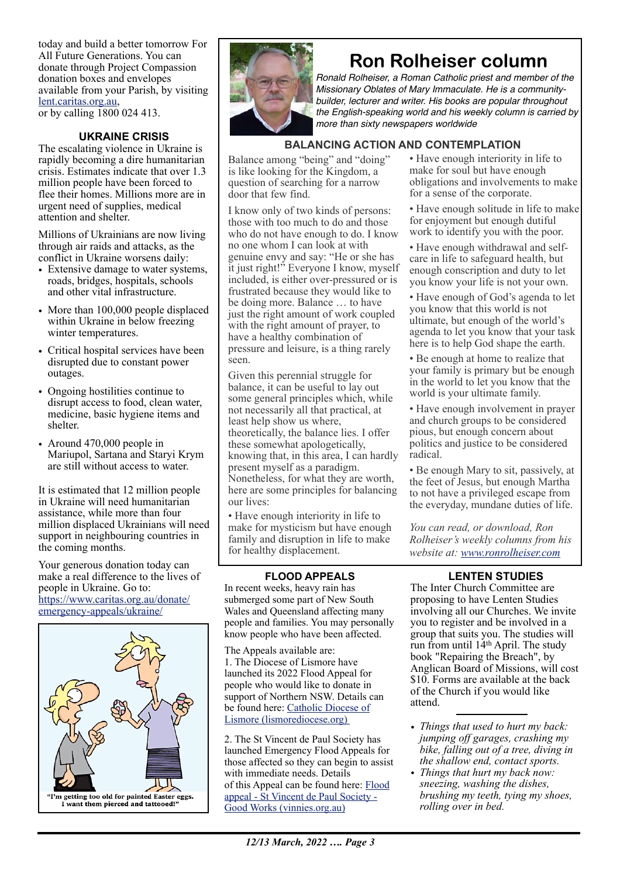today and build a better tomorrow For All Future Generations. You can donate through Project Compassion donation boxes and envelopes available from your Parish, by visiting [lent.caritas.org.au](http://www.caritas.org.au/projectcompassion), or by calling 1800 024 413.

## **UKRAINE CRISIS**

The escalating violence in Ukraine is rapidly becoming a dire humanitarian crisis. Estimates indicate that over 1.3 million people have been forced to flee their homes. Millions more are in urgent need of supplies, medical attention and shelter.

Millions of Ukrainians are now living through air raids and attacks, as the conflict in Ukraine worsens daily:

- Extensive damage to water systems. roads, bridges, hospitals, schools and other vital infrastructure.
- More than 100,000 people displaced within Ukraine in below freezing winter temperatures.
- Critical hospital services have been disrupted due to constant power outages.
- Ongoing hostilities continue to disrupt access to food, clean water, medicine, basic hygiene items and shelter.
- Around 470,000 people in Mariupol, Sartana and Staryi Krym are still without access to water.

It is estimated that 12 million people in Ukraine will need humanitarian assistance, while more than four million displaced Ukrainians will need support in neighbouring countries in the coming months.

Your generous donation today can make a real difference to the lives of people in Ukraine. Go to: [https://www.caritas.org.au/donate/](https://www.caritas.org.au/donate/emergency-appeals/ukraine/) [emergency-appeals/ukraine/](https://www.caritas.org.au/donate/emergency-appeals/ukraine/)



![](_page_2_Picture_12.jpeg)

## **Ron Rolheiser column**

*Ronald Rolheiser, a Roman Catholic priest and member of the Missionary Oblates of Mary Immaculate. He is a communitybuilder, lecturer and writer. His books are popular throughout the English-speaking world and his weekly column is carried by more than sixty newspapers worldwide*

## **BALANCING ACTION AND CONTEMPLATION**

Balance among "being" and "doing" is like looking for the Kingdom, a question of searching for a narrow door that few find.

I know only of two kinds of persons: those with too much to do and those who do not have enough to do. I know no one whom I can look at with genuine envy and say: "He or she has it just right!" Everyone I know, myself included, is either over-pressured or is frustrated because they would like to be doing more. Balance … to have just the right amount of work coupled with the right amount of prayer, to have a healthy combination of pressure and leisure, is a thing rarely seen.

Given this perennial struggle for balance, it can be useful to lay out some general principles which, while not necessarily all that practical, at least help show us where, theoretically, the balance lies. I offer these somewhat apologetically, knowing that, in this area, I can hardly present myself as a paradigm. Nonetheless, for what they are worth, here are some principles for balancing our lives:

• Have enough interiority in life to make for mysticism but have enough family and disruption in life to make for healthy displacement.

### **FLOOD APPEALS**

In recent weeks, heavy rain has submerged some part of New South Wales and Queensland affecting many people and families. You may personally know people who have been affected.

The Appeals available are: 1. The Diocese of Lismore have launched its 2022 Flood Appeal for people who would like to donate in support of Northern NSW. Details can be found here: [Catholic Diocese of](https://www.lismorediocese.org/)  [Lismore \(lismorediocese.org\)](https://www.lismorediocese.org/) 

2. The St Vincent de Paul Society has launched Emergency Flood Appeals for those affected so they can begin to assist with immediate needs. Details of this Appeal can be found here: [Flood](https://www.vinnies.org.au/page/Find_Help/Flood_appeal/)  [appeal - St Vincent de Paul Society -](https://www.vinnies.org.au/page/Find_Help/Flood_appeal/)  [Good Works \(vinnies.org.au\)](https://www.vinnies.org.au/page/Find_Help/Flood_appeal/)

- Have enough interiority in life to make for soul but have enough obligations and involvements to make for a sense of the corporate.
- Have enough solitude in life to make for enjoyment but enough dutiful work to identify you with the poor.
- Have enough withdrawal and selfcare in life to safeguard health, but enough conscription and duty to let you know your life is not your own.
- Have enough of God's agenda to let you know that this world is not ultimate, but enough of the world's agenda to let you know that your task here is to help God shape the earth.
- Be enough at home to realize that your family is primary but be enough in the world to let you know that the world is your ultimate family.
- Have enough involvement in prayer and church groups to be considered pious, but enough concern about politics and justice to be considered radical.

• Be enough Mary to sit, passively, at the feet of Jesus, but enough Martha to not have a privileged escape from the everyday, mundane duties of life.

*You can read, or download, Ron Rolheiser's weekly columns from his website at: www.ronrolheiser.com*

## **LENTEN STUDIES**

The Inter Church Committee are proposing to have Lenten Studies involving all our Churches. We invite you to register and be involved in a group that suits you. The studies will run from until 14th April. The study book "Repairing the Breach", by Anglican Board of Missions, will cost \$10. Forms are available at the back of the Church if you would like attend.

- *• Things that used to hurt my back: jumping off garages, crashing my bike, falling out of a tree, diving in the shallow end, contact sports.*
- *• Things that hurt my back now: sneezing, washing the dishes, brushing my teeth, tying my shoes, rolling over in bed.*